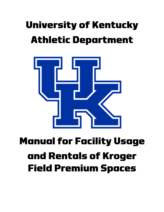# **University of Kentucky Athletic Department**



# **Manual for Facility Usage** and Rentals of Kroger **Field Premium Spaces**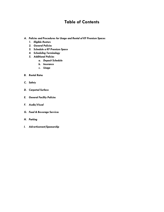# **Table of Contents**

- *A. Policies and Procedures for Usage and Rental of KF Premium Spaces*
	- *1. Eligible Renters*
	- *2. General Policies*
	- *3. Schedule a KF Premium Space*
	- *4. Scheduling Terminology*
	- *5. Additional Policies*
		- *a. Deposit Schedule*
		- *b. Insurance*
		- *c. Usage*
- *B. Rental Rates*
- *C. Safety*
- *D. Carpeted Surface*
- *E. General Facility Policies*
- *F. Audio/Visual*
- *G. Food & Beverage Services*
- *H. Parking*
- *I. Advertisement/Sponsorship*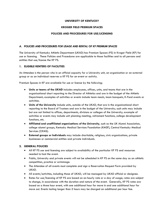#### **UNIVERSITY OF KENTUCKY**

# **KROGER FIELD PREMIUM SPACES**

#### **POLICIES AND PROCEDURES FOR USE/LICENSING**

# *A. POLICIES AND PROCEDURES FOR USAGE AND RENTAL OF KF PREMIUM SPACES*

The University of Kentucky Athletic Department (UKAD) has Premium Spaces (PS) in Kroger Field (KF) for use or licensing. These Policies and Procedures are applicable to those facilities and to all persons and entities that use/license the KF PS.

# **1. ELIGIBLE RENTERS OF FACILITIES**

An Attendee is the person who in an official capacity for a University unit, an organization or an external group or as an individual reserves a KF PS for an event or activity.

Premium Spaces in KF are available for use or license by the following:

- **Units or teams of the UKAD** includes employees, offices, units, and teams that are in the organizational chart reporting to the Director of Athletics and are in the budget of the Athletic Department; examples of activities or events include team meals, team banquets, K-Fund events or activities.
- **Units of the University** include units, outside of the UKAD, that are in the organizational chart reporting to the Board of Trustees and are in the budget of the University; such units may include but are not limited to offices, departments, divisions or colleges of the University; example of activities or events may include unit planning meeting, retirement functions, college development functions, etc.
- **Affiliated and unaffiliated organizations of the University**, such as the UK Alumni Association, college alumni groups, Kentucky Medical Services Foundation (KMSF), Central Kentucky Medical Services (CKMS).
- **External groups or Individuals** may include charitable, religious, civic organizations, private businesses or commercial entities and private individuals.

#### **2. GENERAL POLICIES**

- All KF PS use and licensing are subject to availability of the particular KF PS and resources needed to host the event.
- Public, University and private events will not be scheduled in KF PS on the same day as an athletic competition, practice or scrimmage.
- The Attendee of all events must complete and sign a Reservation Request Form provided by UKAD.
- All events/activities, including those of UKAD, will be managed by UKAD official or designee.
- Rates for use/licensing of KF PS are based on an hourly rate or a day of usage; rates are subject to change, in accordance with the duration and nature of the event. Generally, KF PS rates are based on a three hour event, with one additional hour for move in and one additional hour for move out. Events lasting longer than 5 hours may be charged an additional per hour fee.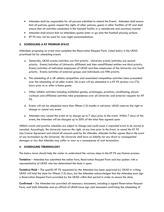- Attendee shall be responsible for all persons admitted to attend the Events. Attendee shall ensure that all patrons, guests respect the rights of other patrons, guests in other facilities of KF and shall ensure that all activities conducted in the licensed facility in a considerate and courteous manner
- Attendee shall ensure that no attendees/guests enter or go onto the football playing surface.
- KF PS may not be used for over-night accommodations.

# **3. SCHEDULING A KF PREMIUM SPACE**

Attendees proposing an event must complete the Reservation Request Form. Listed below is the UKAD prioritized list for scheduling events.

- a. Generally, UKAD events/activities are first priority. University events/activities are second priority. Events/activities of University affiliated and then nonaffiliated entities are third priority. Events/activities of individual employees of UKAD and then employees of the University are fourth priority. Events/activities of external groups and individuals are fifth priority.
- b. The scheduling of a UK athletic competition and associated competition activities takes precedent over the scheduling of all other events. No event will be scheduled in a KF PS seventy two (72) hours prior to or after a home game.
- c. Other athletic activities including exhibition games, scrimmages, practices, conditioning, player workouts and affiliated activities take precedence over all University and external requests for KF PS.
- d. Events will not be scheduled more than fifteen (15) months in advance. UKAD reserves the right to change or cancel any event.
- e. Attendee may cancel the event at no charge up to 7 days prior to the event. Within 7 days of the event, the Attendee will be charged up to 50% of the total fees agreed upon.

*Athletic events and practice schedules are subject to change and could cause a requested event to be moved or canceled. Accordingly, the University reserves the right, at any time prior to the Event, to cancel the KF PS Use/License Agreement and refund all amounts paid by the Attendee. Attendee further agrees that in the event of any termination by the University, the University shall have no liability for any direct or consequential damages or loss that Attendee may suffer or incur as a consequence of such termination.*

#### **4. SCHEDULING TERMINOLOGY**

The below terms should help the renter to understand the various steps in the KF PS use/license process.

**Tentative** – Attendee has submitted the online form, Reservation Request Form and has spoken with a representative of UKAD who has determined the date is open.

**Tentative Hold** – The specific KF PS requested by the Attendee has been approved by UKAD in writing. UKAD will hold the date for fifteen (15) days, but the Attendee acknowledges that the Attendee must sign a Reservation Request Form provided by the UKAD within that period in order to secure the date.

**Confirmed** – The Attendee has provided all necessary documents, including a signed Reservation Request Form, and both Attendee and an official of UKAD have sign said document confirming the scheduling of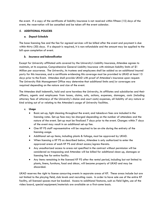the event. If a copy of the certificate of liability insurance is not received within fifteen (15) days of the event, the reservation will be cancelled and be taken off the event calendar.

# *5.* **ADDITIONAL POLICIES**

#### *a. Deposit Schedule*

The base licensing fee and the fee for agreed services will be billed after the event and payment is due within thirty (30) days. If a deposit is required, it is non-refundable and the amount may be applied to the bill upon completion of event.

# *b. Insurance and Indemnification*

Except for University affiliated units covered by the University's Liability Insurance, Attendee agrees to maintain, at its expense, Comprehensive General Liability Insurance with minimum liability limits of \$1 Million per occurrence. The University, its trustees and employees shall be added as an additional insured party for this insurance, and a certificate evidencing this coverage must be provided to UKAD at least 15 days prior to the Event. Attendee shall provide UKAD with proof of Attendee's insurance upon request. The University Risk Management Office may determine that additional limits and/or coverages are required depending on the nature and size of the event.

The Attendee shall indemnify, hold and save harmless the University, its affiliates and subsidiaries and their officers, agents and employees from losses, claims, suits, actions, expenses, damages, costs (including attorney fees of attorneys of the University's choice and court costs) expenses, all liability of any nature or kind arising out of or relating to the Attendee's usage of University facilities.

#### *c. Usage*

- Basic set-up, light cleaning throughout the event, and takedown fees are included in the licensing rates. Set-up fees may be charged depending on the number of attendees and the nature of the event. Set-up must be finalized 7 days prior to the event. Changes within 7 days of the event may result in an additional set-up fee.
- One KF PS staff representative will be required to be on-site during the entirety of the licensing usage.
- Additional set-up items, including plants & foliage, must be approved by UKAD.
- When licensing a KF PS as described below, Attendee is only authorized to enter the approved areas of each KF PS and direct access/egress thereto.
- Any unauthorized access to areas not specified in the contract without permission will be considered as trespassing and Attendee will be billed for additional clean up, damages or licensing fee for entire facility.
- Any items remaining in the licensed KF PS after the rental period, including but not limited to plants, linens, furniture, food and décor, will become property of UKAD and may be discarded.

UKAD reserves the right to license concurring events in separate areas of KF. These areas include but are not limited to the playing field, club levels and recruiting room. In order to have sole use of the entire KF facility, all licensed spaces must be booked. Access to additional features, such as field lights, use of the video board, special equipment/materials are available on a first-come basis.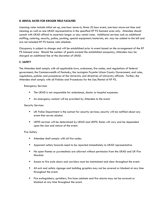# *B. RENTAL RATES FOR KROGER FIELD FACILITIES*

Licensing rates include initial set up, one-hour move-in, three (3) hour event, one-hour move-out time and cleaning as well as one UKAD representative in the specified KF PS licensed area only. Attendee should consult with UKAD official to ascertain longer or day rental rates. Additional services such as additional staffing, catering, security, police, parking, special equipment/materials, etc. may be added to the bill and are not included KF PS license rate schedule.

Occupancy is subject to change and will be established prior to event based on the arrangement of the KF PS licensed area. Should the number of guests exceed the established occupancy, Attendee may be charged an additional fee at the discretion of UKAD.

# *C. SAFETY*

The Attendee shall comply with all applicable laws, ordnances, fire codes, and regulations of federal government, the Commonwealth of Kentucky, the Lexington Fayette Urban County Government, and rules, regulations, policies and procedures of the University and directives of University officials. Further, the Attendee shall comply with all Policies and Procedures for the Use/Rental of KF PS.

#### Emergency Services

- The UKAD is not responsible for ambulance, doctor or hospital expenses.
- An emergency contact will be provided by Attendee to the event.

#### Security Services

- UK Police Department is the contact for security services; security will be notified about any event that serves alcohol.
- UKPD services will be determined by UKAD and UKPD. Rates will vary and be dependent upon the size and nature of the event.

#### Fire Safety

- **E** Attendee shall comply with all fire codes.
- **E** Apparent safety hazards need to be reported immediately to UKAD representative.
- No open flames or pyrotechnics are allowed without permission from the UKAD and UK Fire Marshal.
- **EXEC** Access to fire exits doors and corridors must be maintained and clear throughout the event.
- All exit and safety signage and building graphics may not be covered or blocked at any time throughout the event.
- Fire extinguishers, sprinklers, fire hose cabinets and fire alarms may not be covered or blocked at any time throughout the event.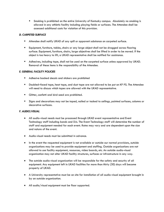■ Smoking is prohibited on the entire University of Kentucky campus. Absolutely no smoking is allowed in any athletic facility including playing fields or surfaces. The Attendee shall be assessed additional costs for violation of this provision.

# *D. CARPETED SURFACE*

- **E** Attendee shall notify UKAD of any spill or apparent substance on carpeted surface.
- **E** Equipment, furniture, tables, chairs or any large object shall not be dragged across flooring surface. Equipment, furniture, chairs, large objectives shall be lifted in order to be moved. If the object is too heavy to lift, a UKAD representative shall be notified for assistance.
- Adhesives, including tape, shall not be used on the carpeted surface unless approved by UKAD. Removal of these items is the responsibility of the Attendee.

# *E. GENERAL FACILITY POLICIES*

- Adhesive backed decals and stickers are prohibited
- Doubled–faced tape, heat tape, and duct tape are not allowed to be put on KF PS. The Attendee will need to discuss which tapes are allowed with the UKAD representative.
- Glitter, confetti and bird seed are prohibited.
- Signs and decorations may not be taped, nailed or tacked to ceilings, painted surfaces, columns or decorative surfaces.

# *F. AUDIO/VISUAL*

- All audio-visual needs must be processed through UKAD event representative and Event Technology staff including bands and DJs. The Event Technology staff will determine the number of staff and equipment needed for each event. Rates may vary and are dependent upon the size and nature of the event.
- Audio-visual needs must be submitted in advance.
- In the event the requested equipment is not available or outside our normal provisions, outside organizations may be used to provide equipment and staffing. Outside organizations are not allowed to use facility equipment, resources, video boards, etc. An outside audio-visual organization may not alter UKAD facility structures, surfaces or infrastructure in any way.
- The outside audio-visual organization will be responsible for the safety and security of all equipment. Any equipment left in UKAD facilities for more than thirty (30) days will become property of UKAD.
- A University representative must be on site for installation of all audio-visual equipment brought in by an outside organization.
- All audio/visual equipment must be floor supported.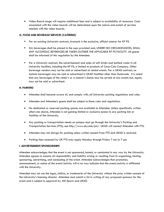• Video Board usage will require additional fees and is subject to availability of resources. Costs associated with the video boards will be determined upon the nature and extent of services needed with the video boards.

# *G. FOOD AND BEVERAGE SERVICES (CATERING)*

- Per an existing University contract, Aramark is the exclusive, official caterer for KF PS.
- ALL beverages shall be placed in the cups provided and, UNDER NO CIRCUMSTANCES, SHALL ANY ALCOHOLIC BEVERAGES BE TAKEN OUTSIDE THE APPLICABLE KF PS FACILITY. All guests shall be informed of this regulation by the Attendee.
- **•** Per a University contract, the advertisement and sales of soft drinks and bottled water in all University facilities, including the KF PS, is limited to products of Coca-Cola Company. Other beverage vendors may not be sold or advertised at rented events. Per a UKAD contract, no isotonic beverages may be sold or advertised in UKAD facilities other than Gatorade. It is noted that any beverages of the renter's or a caterer's choice may be served at any events but, again, may not be sold or advertised.

#### *H. PARKING*

- Attendee shall become aware of, and comply with, all University parking regulations and rules.
- Attendee and Attendee's guests shall be subject to those rules and regulations.
- No dedicated or reserved parking spaces are available to Attendee. Unless specifically written otherwise above, Attendee is not gaining limited or exclusive access to any parking lots or facilities of the University.
- Any parking or transportation needs on campus must go through the University's Parking and Transportation Services (PTS); see http://www.uky.edu/pts/. UKAD will connect Attendee with PTS.
- Attendee may not charge for parking unless written consent from PTS and UKAD is received.
- Parking fees assessed by UK PTS may apply Monday through Friday 7 am to 7 pm.

#### *I. ADVERTISEMENT/SPONSORSHIPS*

Attendee acknowledges that the event is not sponsored, hosted, or conducted in any way by the University. Attendee agrees to assume all responsibility and liability arising or resulting from its organizing, hosting, sponsoring, advertising, and conducting of the event. Attendee acknowledges that promotion, announcement, or notice of the event/activity will in no way indicate that the event/activity is affiliated with the University.

Attendee may not use the logos, indicia, or trademarks of the University without the prior written consent of the University's licensing director. Attendee must submit a list in writing of any proposed sponsors for the event and is subject to approval by JMI Sports and UKAD.